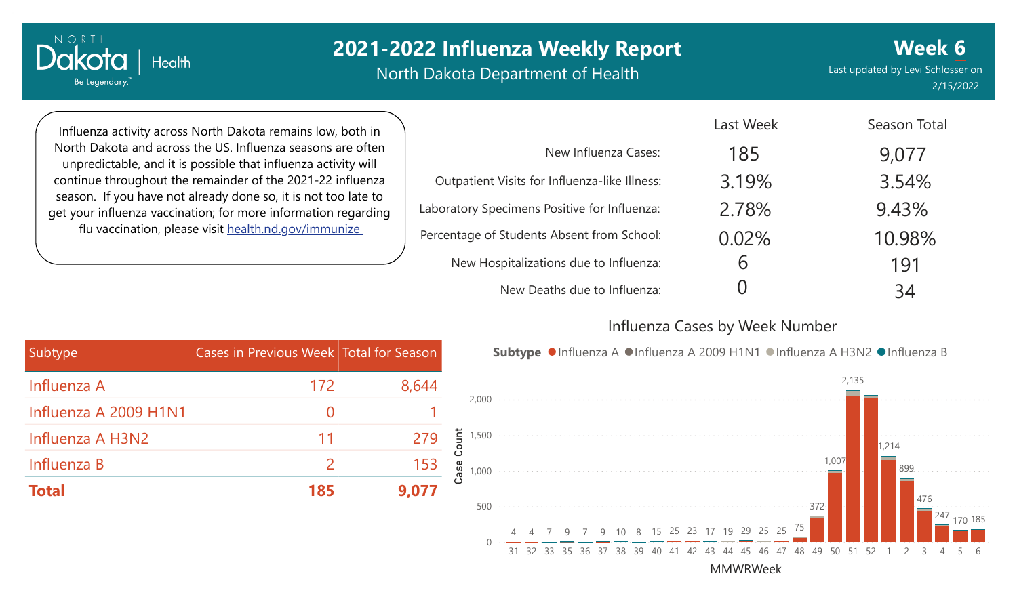North Dakota Department of Health

Last updated by Levi Schlosser on 2/15/2022 **Week 6**

Influenza activity across North Dakota remains low, both in North Dakota and across the US. Influenza seasons are often unpredictable, and it is possible that influenza activity will continue throughout the remainder of the 2021-22 influenza season. If you have not already done so, it is not too late to get your influenza vaccination; for more information regarding flu vaccination, please visit [health.nd.gov/immunize](http://health.nd.gov/immunize)

**Health** 

Dakota

Be Legendary.

|                                               | Last Week | Season Total |
|-----------------------------------------------|-----------|--------------|
| New Influenza Cases:                          | 185       | 9,077        |
| Outpatient Visits for Influenza-like Illness: | 3.19%     | 3.54%        |
| Laboratory Specimens Positive for Influenza:  | 2.78%     | 9.43%        |
| Percentage of Students Absent from School:    | 0.02%     | 10.98%       |
| New Hospitalizations due to Influenza:        | 6         | 191          |
| New Deaths due to Influenza:                  |           | 34           |

#### Influenza Cases by Week Number

| 172 | 8,644 |                                         |
|-----|-------|-----------------------------------------|
|     |       |                                         |
| 11  | 279   | Count                                   |
|     | 153   | Case                                    |
| 185 | 9,077 |                                         |
|     |       | Cases in Previous Week Total for Season |

Subtype ●Influenza A ●Influenza A 2009 H1N1 ●Influenza A H3N2 ●Influenza B

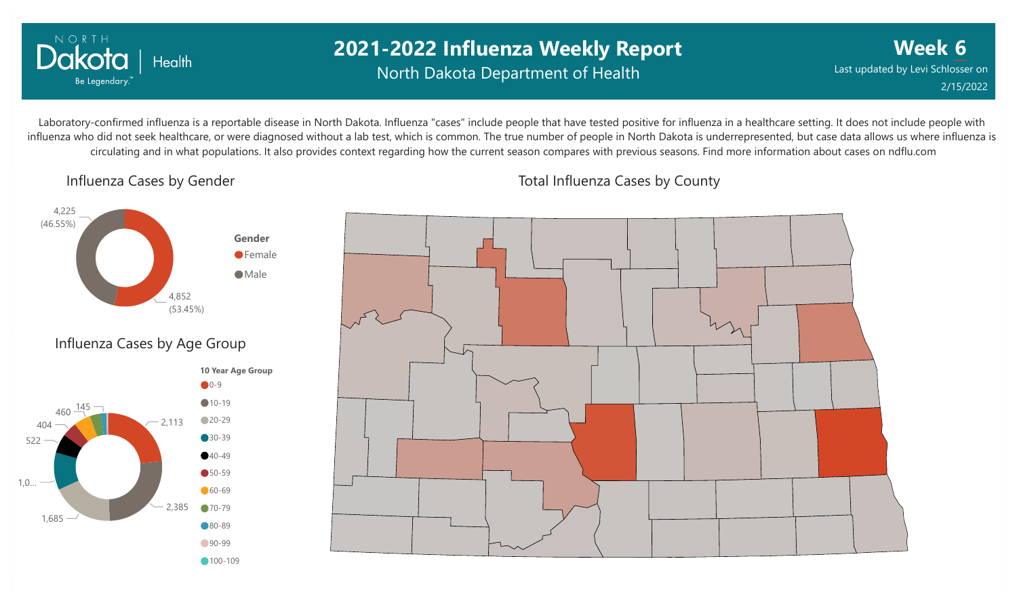

### **2021-2022 Influenza Weekly Report** North Dakota Department of Health

**Week 6** Last updated by Levi Schlosser on 2/15/2022

Laboratory-confirmed influenza is a reportable disease in North Dakota. Influenza "cases" include people that have tested positive for influenza in a healthcare setting. It does not include people with influenza who did not seek healthcare, or were diagnosed without a lab test, which is common. The true number of people in North Dakota is underrepresented, but case data allows us where influenza is circulating and in what populations. It also provides context regarding how the current season compares with previous seasons. Find more information about cases on ndflu.com

Influenza Cases by Gender





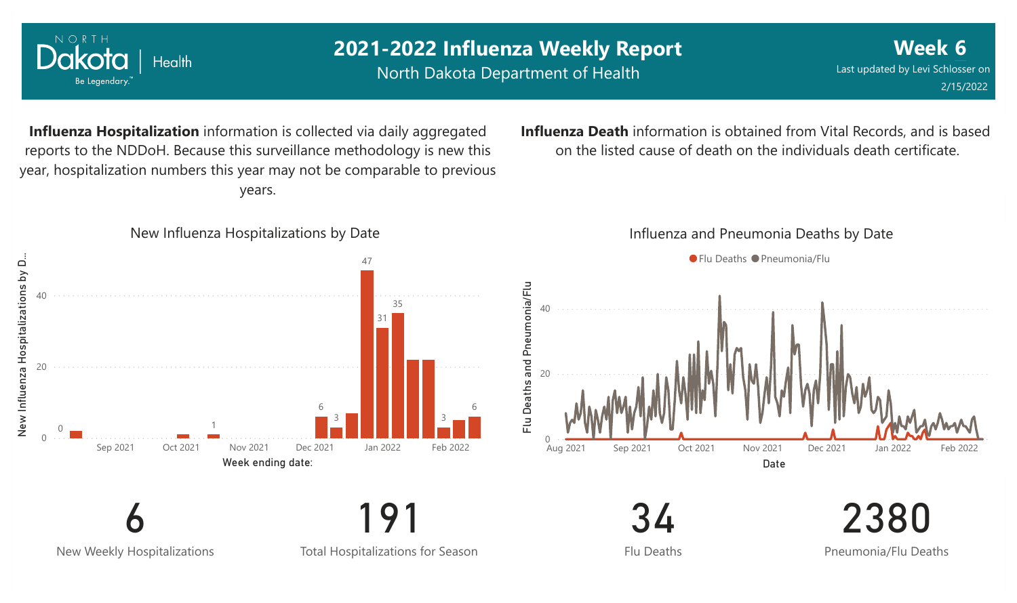

New Weekly Hospitalizations

Total Hospitalizations for Season

Flu Deaths

Pneumonia/Flu Deaths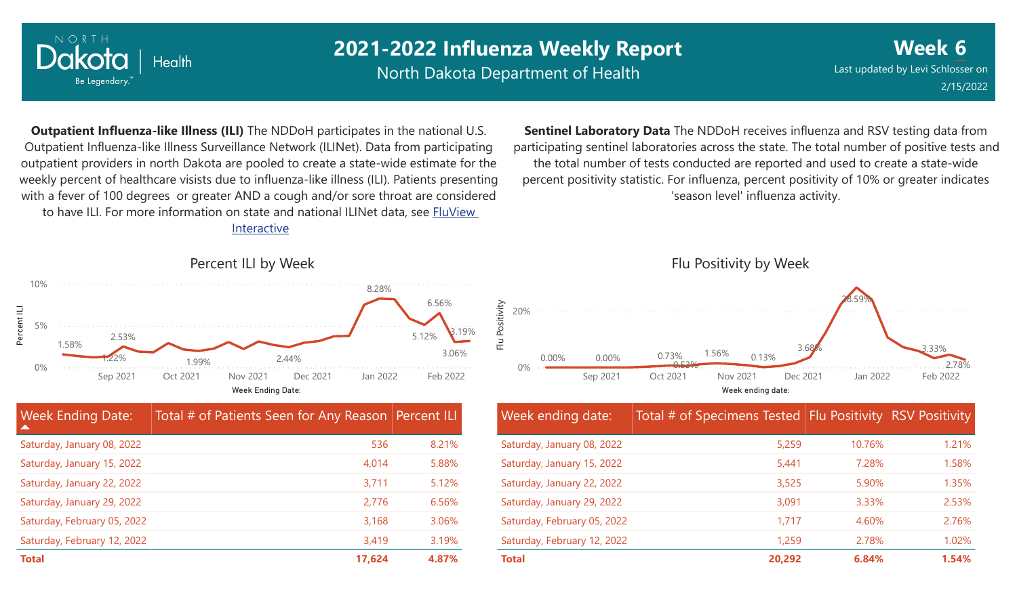

North Dakota Department of Health

**Week 6** Last updated by Levi Schlosser on 2/15/2022

**Outpatient Influenza-like Illness (ILI)** The NDDoH participates in the national U.S. Outpatient Influenza-like Illness Surveillance Network (ILINet). Data from participating outpatient providers in north Dakota are pooled to create a state-wide estimate for the weekly percent of healthcare visists due to influenza-like illness (ILI). Patients presenting with a fever of 100 degrees or greater AND a cough and/or sore throat are considered to have ILI. For more information [on state and national ILINet data, see FluView](http://fluview%20interactive/)

Interactive



| <b>Week Ending Date:</b><br>$\blacktriangle$ | Total # of Patients Seen for Any Reason Percent ILI |       |
|----------------------------------------------|-----------------------------------------------------|-------|
| Saturday, January 08, 2022                   | 536                                                 | 8.21% |
| Saturday, January 15, 2022                   | 4.014                                               | 5.88% |
| Saturday, January 22, 2022                   | 3,711                                               | 5.12% |
| Saturday, January 29, 2022                   | 2,776                                               | 6.56% |
| Saturday, February 05, 2022                  | 3.168                                               | 3.06% |
| Saturday, February 12, 2022                  | 3,419                                               | 3.19% |
| <b>Total</b>                                 | 17,624                                              | 4.87% |

**Sentinel Laboratory Data** The NDDoH receives influenza and RSV testing data from participating sentinel laboratories across the state. The total number of positive tests and the total number of tests conducted are reported and used to create a state-wide percent positivity statistic. For influenza, percent positivity of 10% or greater indicates 'season level' influenza activity.



| Week ending date:           | Total # of Specimens Tested Flu Positivity RSV Positivity |        |       |
|-----------------------------|-----------------------------------------------------------|--------|-------|
| Saturday, January 08, 2022  | 5,259                                                     | 10.76% | 1.21% |
| Saturday, January 15, 2022  | 5,441                                                     | 7.28%  | 1.58% |
| Saturday, January 22, 2022  | 3,525                                                     | 5.90%  | 1.35% |
| Saturday, January 29, 2022  | 3,091                                                     | 3.33%  | 2.53% |
| Saturday, February 05, 2022 | 1.717                                                     | 4.60%  | 2.76% |
| Saturday, February 12, 2022 | 1,259                                                     | 2.78%  | 1.02% |
| <b>Total</b>                | 20,292                                                    | 6.84%  | 1.54% |

#### Percent ILI by Week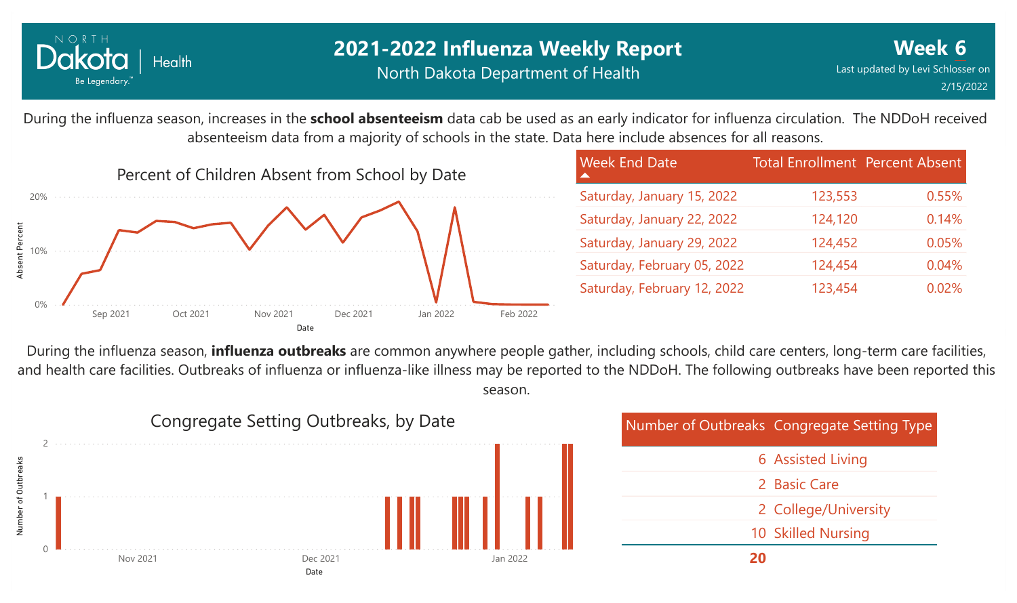

During the influenza season, increases in the **school absenteeism** data cab be used as an early indicator for influenza circulation. The NDDoH received absenteeism data from a majority of schools in the state. Data here include absences for all reasons.



| <b>Week End Date</b>        | <b>Total Enrollment Percent Absent</b> |       |
|-----------------------------|----------------------------------------|-------|
| Saturday, January 15, 2022  | 123,553                                | 0.55% |
| Saturday, January 22, 2022  | 124,120                                | 0.14% |
| Saturday, January 29, 2022  | 124,452                                | 0.05% |
| Saturday, February 05, 2022 | 124,454                                | 0.04% |
| Saturday, February 12, 2022 | 123,454                                | 0.02% |

During the influenza season, **influenza outbreaks** are common anywhere people gather, including schools, child care centers, long-term care facilities, and health care facilities. Outbreaks of influenza or influenza-like illness may be reported to the NDDoH. The following outbreaks have been reported this season.



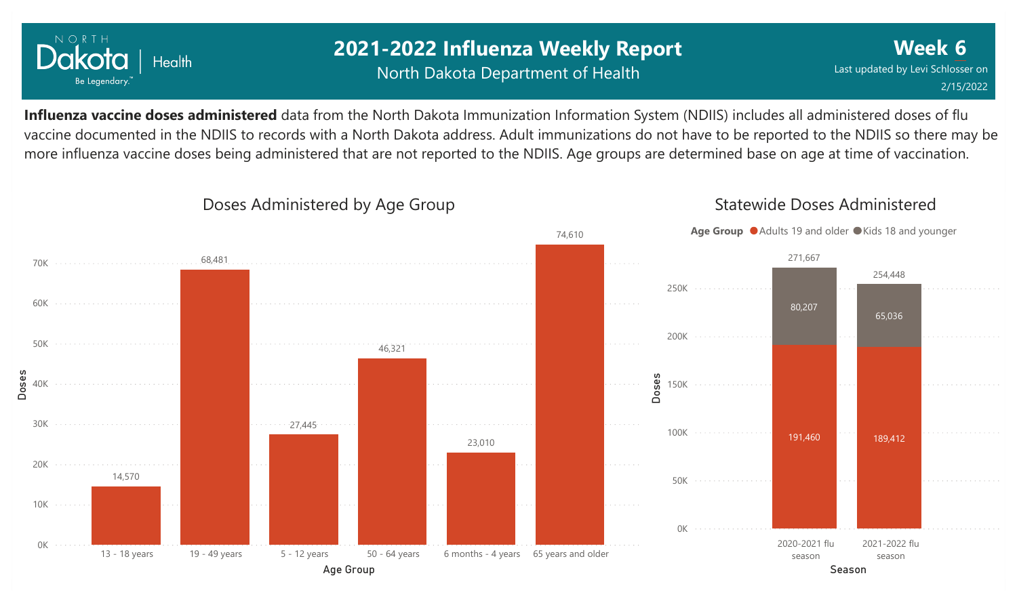

### **2021-2022 Influenza Weekly Report** North Dakota Department of Health

**Week 6** Last updated by Levi Schlosser on 2/15/2022

Statewide Doses Administered

**Influenza vaccine doses administered** data from the North Dakota Immunization Information System (NDIIS) includes all administered doses of flu vaccine documented in the NDIIS to records with a North Dakota address. Adult immunizations do not have to be reported to the NDIIS so there may be more influenza vaccine doses being administered that are not reported to the NDIIS. Age groups are determined base on age at time of vaccination.



### Doses Administered by Age Group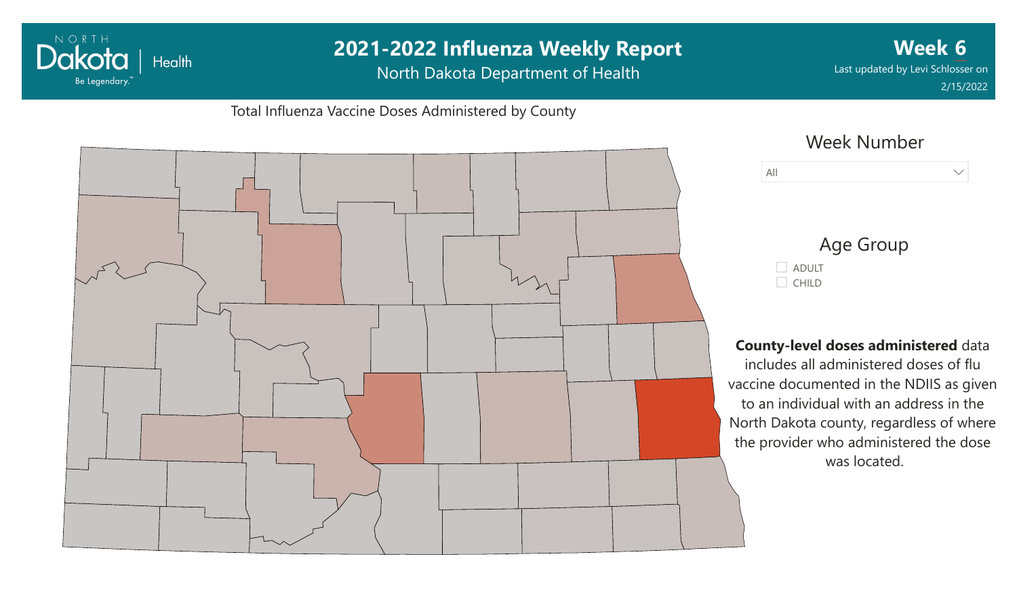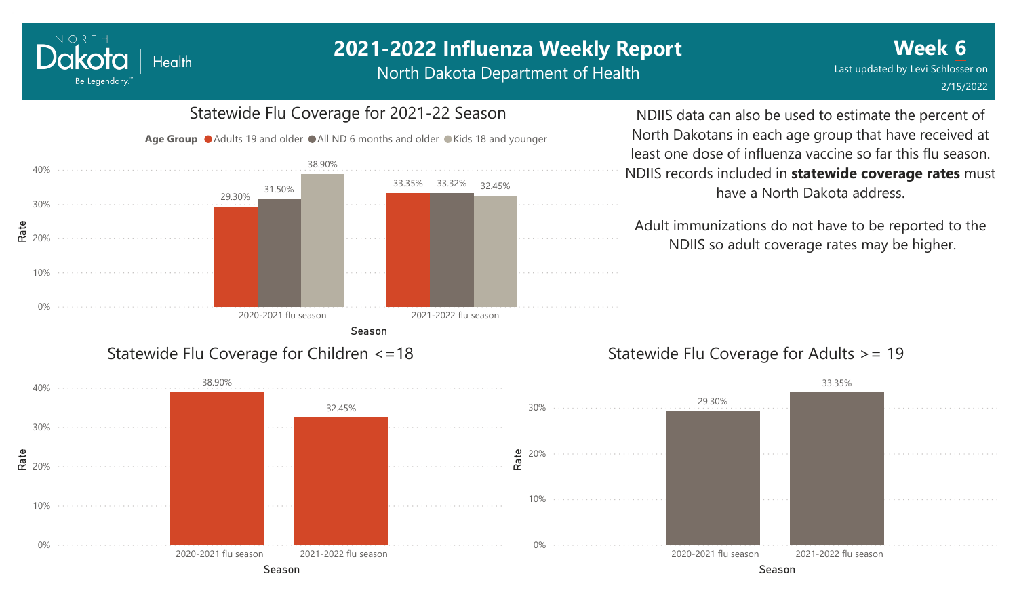North Dakota Department of Health



NORTH

Dakota

Be Legendary.

**Health** 

### NDIIS data can also be used to estimate the percent of North Dakotans in each age group that have received at least one dose of influenza vaccine so far this flu season. NDIIS records included in **statewide coverage rates** must

have a North Dakota address. Adult immunizations do not have to be reported to the

NDIIS so adult coverage rates may be higher.

### Statewide Flu Coverage for Adults >= 19